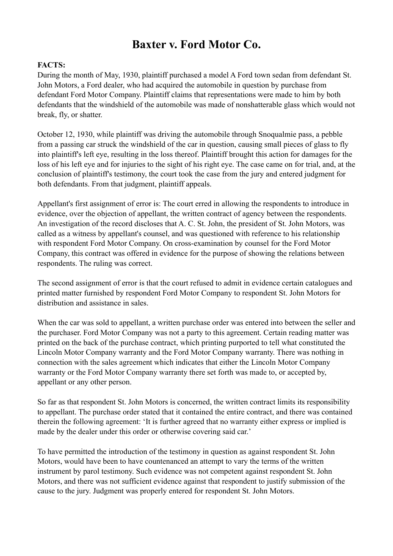# **[Baxter v. Ford Motor Co.](https://1-next-westlaw-com.eu1.proxy.openathens.net/Document/I4b1dfe7ff7d211d99439b076ef9ec4de/View/FullText.html?originationContext=docHeader&contextData=(sc.Default)&transitionType=Document&needToInjectTerms=False&docSource=260609d36d37466182ee852a1ac9ad15)**

## **FACTS:**

During the month of May, 1930, plaintiff purchased a model A Ford town sedan from defendant St. John Motors, a Ford dealer, who had acquired the automobile in question by purchase from defendant Ford Motor Company. Plaintiff claims that representations were made to him by both defendants that the windshield of the automobile was made of nonshatterable glass which would not break, fly, or shatter.

October 12, 1930, while plaintiff was driving the automobile through Snoqualmie pass, a pebble from a passing car struck the windshield of the car in question, causing small pieces of glass to fly into plaintiff's left eye, resulting in the loss thereof. Plaintiff brought this action for damages for the loss of his left eye and for injuries to the sight of his right eye. The case came on for trial, and, at the conclusion of plaintiff's testimony, the court took the case from the jury and entered judgment for both defendants. From that judgment, plaintiff appeals.

Appellant's first assignment of error is: The court erred in allowing the respondents to introduce in evidence, over the objection of appellant, the written contract of agency between the respondents. An investigation of the record discloses that A. C. St. John, the president of St. John Motors, was called as a witness by appellant's counsel, and was questioned with reference to his relationship with respondent Ford Motor Company. On cross-examination by counsel for the Ford Motor Company, this contract was offered in evidence for the purpose of showing the relations between respondents. The ruling was correct.

The second assignment of error is that the court refused to admit in evidence certain catalogues and printed matter furnished by respondent Ford Motor Company to respondent St. John Motors for distribution and assistance in sales.

When the car was sold to appellant, a written purchase order was entered into between the seller and the purchaser. Ford Motor Company was not a party to this agreement. Certain reading matter was printed on the back of the purchase contract, which printing purported to tell what constituted the Lincoln Motor Company warranty and the Ford Motor Company warranty. There was nothing in connection with the sales agreement which indicates that either the Lincoln Motor Company warranty or the Ford Motor Company warranty there set forth was made to, or accepted by, appellant or any other person.

So far as that respondent St. John Motors is concerned, the written contract limits its responsibility to appellant. The purchase order stated that it contained the entire contract, and there was contained therein the following agreement: 'It is further agreed that no warranty either express or implied is made by the dealer under this order or otherwise covering said car.'

To have permitted the introduction of the testimony in question as against respondent St. John Motors, would have been to have countenanced an attempt to vary the terms of the written instrument by parol testimony. Such evidence was not competent against respondent St. John Motors, and there was not sufficient evidence against that respondent to justify submission of the cause to the jury. Judgment was properly entered for respondent St. John Motors.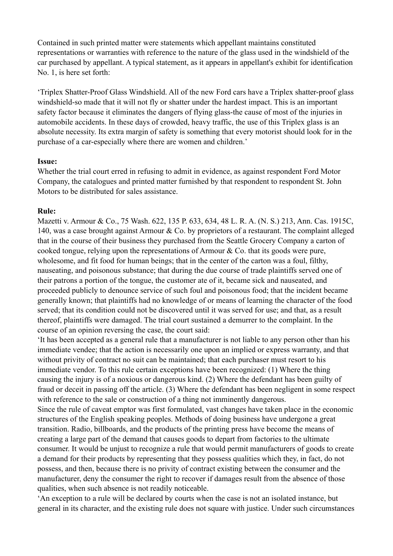Contained in such printed matter were statements which appellant maintains constituted representations or warranties with reference to the nature of the glass used in the windshield of the car purchased by appellant. A typical statement, as it appears in appellant's exhibit for identification No. 1, is here set forth:

'Triplex Shatter-Proof Glass Windshield. All of the new Ford cars have a Triplex shatter-proof glass windshield-so made that it will not fly or shatter under the hardest impact. This is an important safety factor because it eliminates the dangers of flying glass-the cause of most of the injuries in automobile accidents. In these days of crowded, heavy traffic, the use of this Triplex glass is an absolute necessity. Its extra margin of safety is something that every motorist should look for in the purchase of a car-especially where there are women and children.'

#### **Issue:**

Whether the trial court erred in refusing to admit in evidence, as against respondent Ford Motor Company, the catalogues and printed matter furnished by that respondent to respondent St. John Motors to be distributed for sales assistance.

#### **Rule:**

Mazetti v. Armour & Co., 75 Wash. 622, 135 P. 633, 634, 48 L. R. A. (N. S.) 213, Ann. Cas. 1915C, 140, was a case brought against Armour & Co. by proprietors of a restaurant. The complaint alleged that in the course of their business they purchased from the Seattle Grocery Company a carton of cooked tongue, relying upon the representations of Armour & Co. that its goods were pure, wholesome, and fit food for human beings; that in the center of the carton was a foul, filthy, nauseating, and poisonous substance; that during the due course of trade plaintiffs served one of their patrons a portion of the tongue, the customer ate of it, became sick and nauseated, and proceeded publicly to denounce service of such foul and poisonous food; that the incident became generally known; that plaintiffs had no knowledge of or means of learning the character of the food served; that its condition could not be discovered until it was served for use; and that, as a result thereof, plaintiffs were damaged. The trial court sustained a demurrer to the complaint. In the course of an opinion reversing the case, the court said:

'It has been accepted as a general rule that a manufacturer is not liable to any person other than his immediate vendee; that the action is necessarily one upon an implied or express warranty, and that without privity of contract no suit can be maintained; that each purchaser must resort to his immediate vendor. To this rule certain exceptions have been recognized: (1) Where the thing causing the injury is of a noxious or dangerous kind. (2) Where the defendant has been guilty of fraud or deceit in passing off the article. (3) Where the defendant has been negligent in some respect with reference to the sale or construction of a thing not imminently dangerous.

Since the rule of caveat emptor was first formulated, vast changes have taken place in the economic structures of the English speaking peoples. Methods of doing business have undergone a great transition. Radio, billboards, and the products of the printing press have become the means of creating a large part of the demand that causes goods to depart from factories to the ultimate consumer. It would be unjust to recognize a rule that would permit manufacturers of goods to create a demand for their products by representing that they possess qualities which they, in fact, do not possess, and then, because there is no privity of contract existing between the consumer and the manufacturer, deny the consumer the right to recover if damages result from the absence of those qualities, when such absence is not readily noticeable.

'An exception to a rule will be declared by courts when the case is not an isolated instance, but general in its character, and the existing rule does not square with justice. Under such circumstances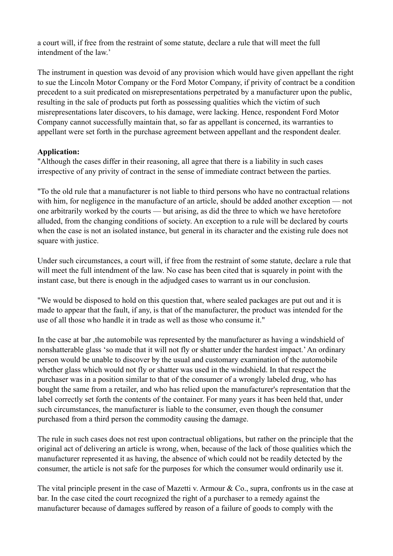a court will, if free from the restraint of some statute, declare a rule that will meet the full intendment of the law'

The instrument in question was devoid of any provision which would have given appellant the right to sue the Lincoln Motor Company or the Ford Motor Company, if privity of contract be a condition precedent to a suit predicated on misrepresentations perpetrated by a manufacturer upon the public, resulting in the sale of products put forth as possessing qualities which the victim of such misrepresentations later discovers, to his damage, were lacking. Hence, respondent Ford Motor Company cannot successfully maintain that, so far as appellant is concerned, its warranties to appellant were set forth in the purchase agreement between appellant and the respondent dealer.

## **Application:**

"Although the cases differ in their reasoning, all agree that there is a liability in such cases irrespective of any privity of contract in the sense of immediate contract between the parties.

"To the old rule that a manufacturer is not liable to third persons who have no contractual relations with him, for negligence in the manufacture of an article, should be added another exception — not one arbitrarily worked by the courts — but arising, as did the three to which we have heretofore alluded, from the changing conditions of society. An exception to a rule will be declared by courts when the case is not an isolated instance, but general in its character and the existing rule does not square with justice.

Under such circumstances, a court will, if free from the restraint of some statute, declare a rule that will meet the full intendment of the law. No case has been cited that is squarely in point with the instant case, but there is enough in the adjudged cases to warrant us in our conclusion.

"We would be disposed to hold on this question that, where sealed packages are put out and it is made to appear that the fault, if any, is that of the manufacturer, the product was intended for the use of all those who handle it in trade as well as those who consume it."

In the case at bar ,the automobile was represented by the manufacturer as having a windshield of nonshatterable glass 'so made that it will not fly or shatter under the hardest impact.' An ordinary person would be unable to discover by the usual and customary examination of the automobile whether glass which would not fly or shatter was used in the windshield. In that respect the purchaser was in a position similar to that of the consumer of a wrongly labeled drug, who has bought the same from a retailer, and who has relied upon the manufacturer's representation that the label correctly set forth the contents of the container. For many years it has been held that, under such circumstances, the manufacturer is liable to the consumer, even though the consumer purchased from a third person the commodity causing the damage.

The rule in such cases does not rest upon contractual obligations, but rather on the principle that the original act of delivering an article is wrong, when, because of the lack of those qualities which the manufacturer represented it as having, the absence of which could not be readily detected by the consumer, the article is not safe for the purposes for which the consumer would ordinarily use it.

The vital principle present in the case of Mazetti v. Armour & Co., supra, confronts us in the case at bar. In the case cited the court recognized the right of a purchaser to a remedy against the manufacturer because of damages suffered by reason of a failure of goods to comply with the